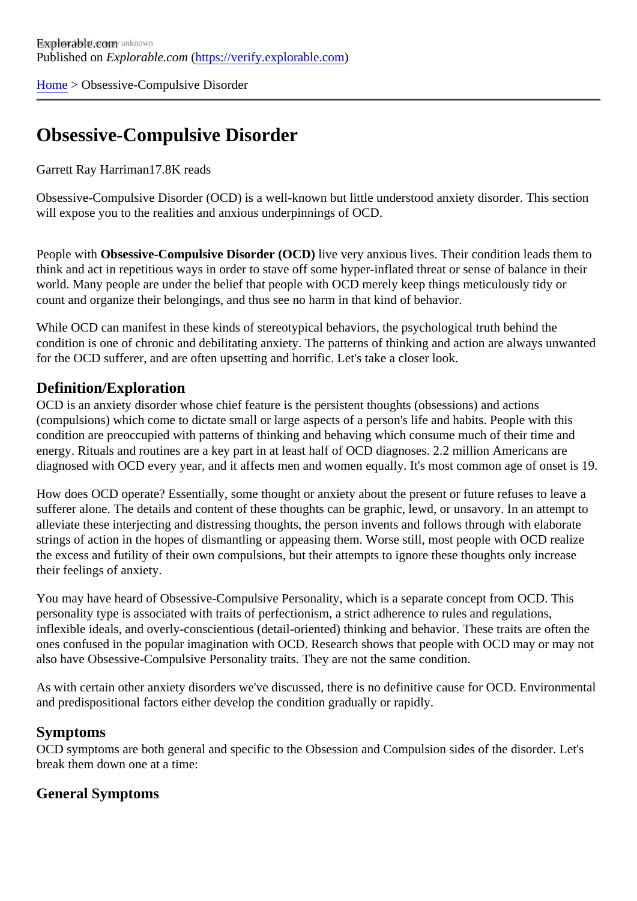[Home](https://verify.explorable.com/) > Obsessive-Compulsive Disorder

# Obsessive-Compulsive Disorder

#### Garrett Ray Harriman7.8K reads

Obsessive-Compulsive Disorder (OCD) is a well-known but little understood anxiety disorder. This section will expose you to the realities and anxious underpinnings of OCD.

People with Obsessive-Compulsive Disorder (OCDI) ve very anxious lives. Their condition leads them to think and act in repetitious ways in order to stave off some hyper-inflated threat or sense of balance in the world. Many people are under the belief that people with OCD merely keep things meticulously tidy or count and organize their belongings, and thus see no harm in that kind of behavior.

While OCD can manifest in these kinds of stereotypical behaviors, the psychological truth behind the condition is one of chronic and debilitating anxiety. The patterns of thinking and action are always unwanted for the OCD sufferer, and are often upsetting and horrific. Let's take a closer look.

### Definition/Exploration

OCD is an anxiety disorder whose chief feature is the persistent thoughts (obsessions) and actions (compulsions) which come to dictate small or large aspects of a person's life and habits. People with this condition are preoccupied with patterns of thinking and behaving which consume much of their time and energy. Rituals and routines are a key part in at least half of OCD diagnoses. 2.2 million Americans are diagnosed with OCD every year, and it affects men and women equally. It's most common age of onset is

How does OCD operate? Essentially, some thought or anxiety about the present or future refuses to leave sufferer alone. The details and content of these thoughts can be graphic, lewd, or unsavory. In an attempt alleviate these interjecting and distressing thoughts, the person invents and follows through with elaborate strings of action in the hopes of dismantling or appeasing them. Worse still, most people with OCD realize the excess and futility of their own compulsions, but their attempts to ignore these thoughts only increase their feelings of anxiety.

You may have heard of Obsessive-Compulsive Personality, which is a separate concept from OCD. This personality type is associated with traits of perfectionism, a strict adherence to rules and regulations, inflexible ideals, and overly-conscientious (detail-oriented) thinking and behavior. These traits are often the ones confused in the popular imagination with OCD. Research shows that people with OCD may or may not also have Obsessive-Compulsive Personality traits. They are not the same condition.

As with certain other anxiety disorders we've discussed, there is no definitive cause for OCD. Environment and predispositional factors either develop the condition gradually or rapidly.

### Symptoms

OCD symptoms are both general and specific to the Obsession and Compulsion sides of the disorder. Let break them down one at a time:

General Symptoms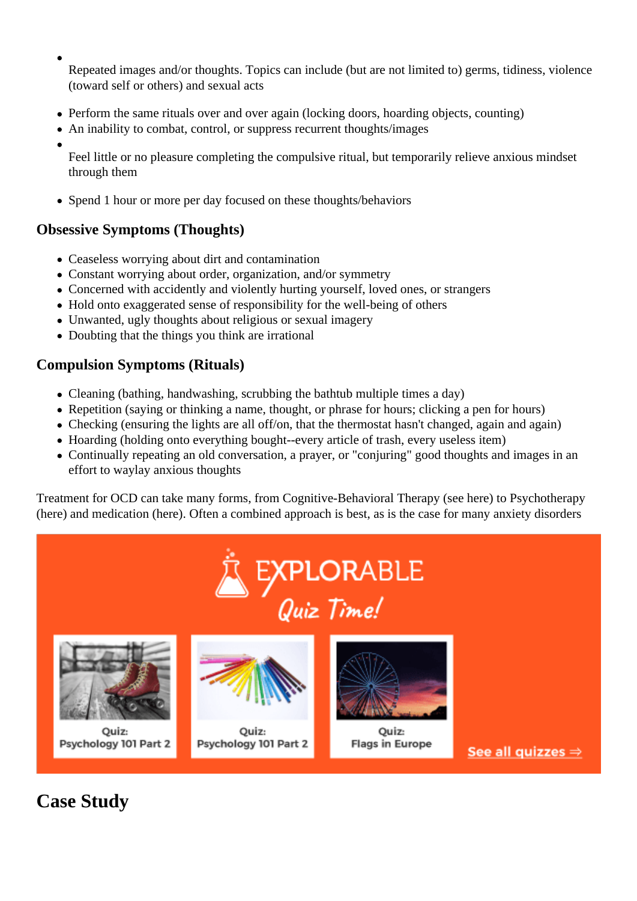Repeated images and/or thoughts. Topics can include (but are not limited to) germs, tidiness, violence (toward self or others) and sexual acts

- Perform the same rituals over and over again (locking doors, hoarding objects, counting)
- An inability to combat, control, or suppress recurrent thoughts/images
- 

Feel little or no pleasure completing the compulsive ritual, but temporarily relieve anxious mindset through them

• Spend 1 hour or more per day focused on these thoughts/behaviors

## **Obsessive Symptoms (Thoughts)**

- Ceaseless worrying about dirt and contamination
- Constant worrying about order, organization, and/or symmetry
- Concerned with accidently and violently hurting yourself, loved ones, or strangers
- Hold onto exaggerated sense of responsibility for the well-being of others
- Unwanted, ugly thoughts about religious or sexual imagery
- Doubting that the things you think are irrational

### **Compulsion Symptoms (Rituals)**

- Cleaning (bathing, handwashing, scrubbing the bathtub multiple times a day)
- Repetition (saying or thinking a name, thought, or phrase for hours; clicking a pen for hours)
- Checking (ensuring the lights are all off/on, that the thermostat hasn't changed, again and again)
- Hoarding (holding onto everything bought--every article of trash, every useless item)
- Continually repeating an old conversation, a prayer, or "conjuring" good thoughts and images in an effort to waylay anxious thoughts

Treatment for OCD can take many forms, from Cognitive-Behavioral Therapy (see here) to Psychotherapy (here) and medication (here). Often a combined approach is best, as is the case for many anxiety disorders



**Case Study**